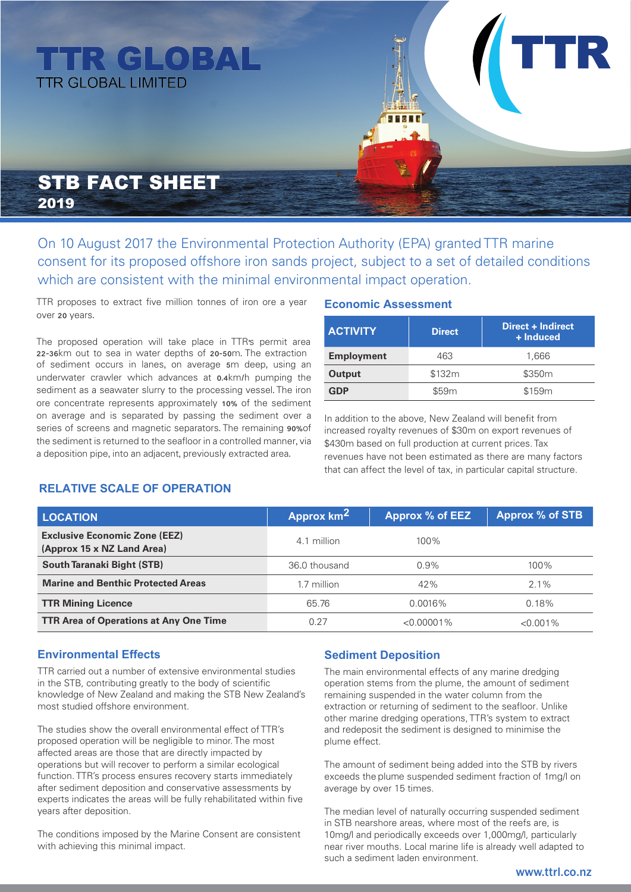# **TTR GLOBAL TTR GLOBAL LIMITED**

# STB FACT SHEET 2019

On 10 August 2017 the Environmental Protection Authority (EPA) granted TTR marine consent for its proposed offshore iron sands project, subject to a set of detailed conditions which are consistent with the minimal environmental impact operation.

TTR proposes to extract five million tonnes of iron ore a year over 20 years.

The proposed operation will take place in TTR's permit area 22-36km out to sea in water depths of 20-50m. The extraction of sediment occurs in lanes, on average 5m deep, using an underwater crawler which advances at 0.4km/h pumping the sediment as a seawater slurry to the processing vessel. The iron ore concentrate represents approximately 10% of the sediment on average and is separated by passing the sediment over a series of screens and magnetic separators. The remaining 90% of the sediment is returned to the seafloor in a controlled manner, via a deposition pipe, into an adjacent, previously extracted area.

#### **Economic Assessment**

| <b>ACTIVITY</b>   | <b>Direct</b> | Direct + Indirect<br>+ Induced |  |
|-------------------|---------------|--------------------------------|--|
| <b>Employment</b> | 463           | 1.666                          |  |
| Output            | \$132m        | \$350m                         |  |
| <b>GDP</b>        | \$59m         | \$159 <sub>m</sub>             |  |

In addition to the above, New Zealand will benefit from increased royalty revenues of \$30m on export revenues of \$430m based on full production at current prices. Tax revenues have not been estimated as there are many factors that can affect the level of tax, in particular capital structure.

## **RELATIVE SCALE OF OPERATION**

| <b>LOCATION</b>                                                    | Approx km <sup>2</sup> | Approx % of EEZ | <b>Approx % of STB</b> |
|--------------------------------------------------------------------|------------------------|-----------------|------------------------|
| <b>Exclusive Economic Zone (EEZ)</b><br>(Approx 15 x NZ Land Area) | 4.1 million            | $100\%$         |                        |
| <b>South Taranaki Bight (STB)</b>                                  | 36.0 thousand          | 0.9%            | $100\%$                |
| <b>Marine and Benthic Protected Areas</b>                          | 1.7 million            | 42%             | $2.1\%$                |
| <b>TTR Mining Licence</b>                                          | 65.76                  | $0.0016\%$      | 0.18%                  |
| <b>TTR Area of Operations at Any One Time</b>                      | 0.27                   | $< 0.00001\%$   | $< 0.001\%$            |

## **Environmental Effects**

TTR carried out a number of extensive environmental studies in the STB, contributing greatly to the body of scientific knowledge of New Zealand and making the STB New Zealand's most studied offshore environment.

The studies show the overall environmental effect of TTR's proposed operation will be negligible to minor. The most affected areas are those that are directly impacted by operations but will recover to perform a similar ecological function. TTR's process ensures recovery starts immediately after sediment deposition and conservative assessments by experts indicates the areas will be fully rehabilitated within five years after deposition.

The conditions imposed by the Marine Consent are consistent with achieving this minimal impact.

#### **Sediment Deposition**

The main environmental effects of any marine dredging operation stems from the plume, the amount of sediment remaining suspended in the water column from the extraction or returning of sediment to the seafloor. Unlike other marine dredging operations, TTR's system to extract and redeposit the sediment is designed to minimise the plume effect.

The amount of sediment being added into the STB by rivers exceeds the plume suspended sediment fraction of 1mg/l on average by over 15 times.

The median level of naturally occurring suspended sediment in STB nearshore areas, where most of the reefs are, is 10mg/l and periodically exceeds over 1,000mg/l, particularly near river mouths. Local marine life is already well adapted to such a sediment laden environment.